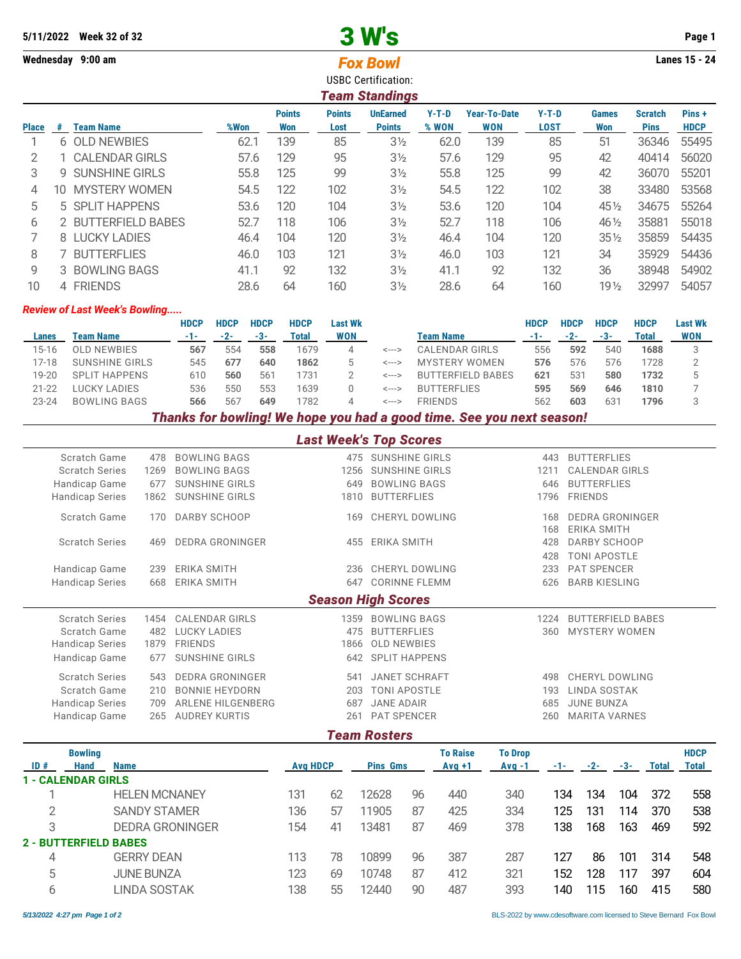## 5/11/2022 Week 32 of 32 **3 W's** Page 1

## **Wednesday 9:00 am Lanes 15 - 24** *Fox Bowl* USBC Certification: *Team Standings* **Points Points UnEarned Y-T-D Year-To-Date Y-T-D Games Scratch Pins + Place # Team Name %Won Won Lost Points % WON WON LOST Won Pins HDCP** 1 6 OLD NEWBIES 62.1 139 85 3½ 62.0 139 85 51 36346 55495 2 1 CALENDAR GIRLS 57.6 129 95 3½ 57.6 129 95 42 40414 56020 3 9 SUNSHINE GIRLS 55.8 125 99 3½ 55.8 125 99 42 36070 55201 4 10 MYSTERY WOMEN 54.5 122 102 3½ 54.5 122 102 38 33480 53568 5 5 SPLIT HAPPENS 53.6 120 104 3½ 53.6 120 104 45½ 34675 55264 6 2 BUTTERFIELD BABES 52.7 118 106 3½ 52.7 118 106 46½ 35881 55018 7 8 LUCKY LADIES 46.4 104 120 3½ 46.4 104 120 35½ 35859 54435 8 7 BUTTERFLIES 46.0 103 121 3½ 46.0 103 121 34 35929 54436 9 3 BOWLING BAGS 41.1 92 132 3½ 41.1 92 132 36 38948 54902 10 4 FRIENDS 28.6 64 160 3½ 28.6 64 160 19½ 32997 54057

## *Review of Last Week's Bowling.....*

|           |                      | <b>HDCP</b> | <b>HDCP</b> | <b>HDCP</b>     | <b>HDCP</b> | Last Wk    |       |                    | <b>HDCP</b> | <b>HDCP</b> | <b>HDCP</b> | <b>HDCP</b> | <b>Last Wk</b> |
|-----------|----------------------|-------------|-------------|-----------------|-------------|------------|-------|--------------------|-------------|-------------|-------------|-------------|----------------|
| Lanes     | Team Name            | -1-1        | $-2-$       | -3-             | Total       | <b>WON</b> |       | Team Name          |             | $-2-$       | -3-         | Total       | <b>WON</b>     |
| 15-16     | OLD NEWBIES          | 567         | 554         | 558             | 1679        |            | <---> | CALENDAR GIRLS     | 556         | 592         | 540         | 1688        |                |
| 17-18     | SUNSHINE GIRLS       | 545         | 677         | 640             | 1862        |            | <---> | MYSTERY WOMEN      | 576         | 576         | 576         | 1728        |                |
| 19-20     | <b>SPLIT HAPPENS</b> | 610         | 560         | 56 <sup>1</sup> | 1731        |            | <---> | BUTTERFIFLD BABES  | 621         | 531         | 580         | 1732        |                |
| $21 - 22$ | LUCKY LADIES         | 536         | 550         | 553             | 1639        |            | <---> | <b>BUTTERFLIES</b> | 595         | 569         | 646         | 1810        |                |
| $23 - 24$ | <b>BOWLING BAGS</b>  | 566         | 56          | 649             | 1782        |            | <---> | <b>FRIENDS</b>     | 562         | 603         | 631         | 1796        |                |
|           |                      |             |             |                 |             |            |       |                    |             |             |             |             |                |

*Thanks for bowling! We hope you had a good time. See you next season!*

| <b>Last Week's Top Scores</b> |      |                        |      |                           |      |                          |  |  |  |  |  |
|-------------------------------|------|------------------------|------|---------------------------|------|--------------------------|--|--|--|--|--|
| Scratch Game                  | 478  | <b>BOWLING BAGS</b>    | 475  | <b>SUNSHINE GIRLS</b>     | 443  | <b>BUTTERFLIES</b>       |  |  |  |  |  |
| <b>Scratch Series</b>         | 1269 | <b>BOWLING BAGS</b>    | 1256 | <b>SUNSHINE GIRLS</b>     | 1211 | <b>CALENDAR GIRLS</b>    |  |  |  |  |  |
| Handicap Game                 | 677  | <b>SUNSHINE GIRLS</b>  | 649  | <b>BOWLING BAGS</b>       | 646  | <b>BUTTERFLIES</b>       |  |  |  |  |  |
| <b>Handicap Series</b>        | 1862 | <b>SUNSHINE GIRLS</b>  | 1810 | <b>BUTTERFLIES</b>        | 1796 | <b>FRIENDS</b>           |  |  |  |  |  |
| Scratch Game                  | 170  | DARBY SCHOOP           | 169  | CHERYL DOWLING            | 168  | <b>DEDRA GRONINGER</b>   |  |  |  |  |  |
|                               |      |                        |      |                           | 168  | <b>ERIKA SMITH</b>       |  |  |  |  |  |
| <b>Scratch Series</b>         | 469  | <b>DEDRA GRONINGER</b> | 455  | ERIKA SMITH               | 428  | DARBY SCHOOP             |  |  |  |  |  |
|                               |      |                        |      |                           | 428  | <b>TONI APOSTLE</b>      |  |  |  |  |  |
| Handicap Game                 | 239  | <b>ERIKA SMITH</b>     | 236  | CHERYL DOWLING            | 233  | <b>PAT SPENCER</b>       |  |  |  |  |  |
| <b>Handicap Series</b>        | 668  | <b>ERIKA SMITH</b>     | 647  | <b>CORINNE FLEMM</b>      | 626  | <b>BARB KIESLING</b>     |  |  |  |  |  |
|                               |      |                        |      | <b>Season High Scores</b> |      |                          |  |  |  |  |  |
| <b>Scratch Series</b>         | 1454 | <b>CALENDAR GIRLS</b>  | 1359 | <b>BOWLING BAGS</b>       | 1224 | <b>BUTTERFIELD BABES</b> |  |  |  |  |  |
| Scratch Game                  | 482  | <b>LUCKY LADIES</b>    | 475  | <b>BUTTERFLIES</b>        | 360  | <b>MYSTERY WOMEN</b>     |  |  |  |  |  |
| <b>Handicap Series</b>        | 1879 | <b>FRIENDS</b>         | 1866 | <b>OLD NEWBIES</b>        |      |                          |  |  |  |  |  |
| Handicap Game                 | 677  | <b>SUNSHINE GIRLS</b>  |      | 642 SPLIT HAPPENS         |      |                          |  |  |  |  |  |
| <b>Scratch Series</b>         | 543  | <b>DEDRA GRONINGER</b> | 541  | <b>JANET SCHRAFT</b>      | 498  | <b>CHERYL DOWLING</b>    |  |  |  |  |  |
| Scratch Game                  | 210  | <b>BONNIE HEYDORN</b>  | 203  | <b>TONI APOSTLE</b>       | 193  | <b>LINDA SOSTAK</b>      |  |  |  |  |  |
| <b>Handicap Series</b>        | 709  | ARLENE HILGENBERG      | 687  | <b>JANE ADAIR</b>         | 685  | <b>JUNE BUNZA</b>        |  |  |  |  |  |
| Handicap Game                 | 265  | <b>AUDREY KURTIS</b>   | 261  | <b>PAT SPENCER</b>        | 260  | <b>MARITA VARNES</b>     |  |  |  |  |  |
|                               |      |                        |      |                           |      |                          |  |  |  |  |  |

## *Team Rosters*

|     | <b>Bowling</b>               |                        |     |                 |       |                 | <b>To Raise</b> | <b>To Drop</b> |     |       |     |       | <b>HDCP</b> |
|-----|------------------------------|------------------------|-----|-----------------|-------|-----------------|-----------------|----------------|-----|-------|-----|-------|-------------|
| ID# | Hand                         | <b>Name</b>            |     | <b>Avg HDCP</b> |       | <b>Pins Gms</b> |                 | $Avg -1$       | -1- | $-2-$ | -3- | Total | Total       |
|     | <b>E-CALENDAR GIRLS</b>      |                        |     |                 |       |                 |                 |                |     |       |     |       |             |
|     |                              | <b>HELEN MCNANEY</b>   | 131 | 62              | 12628 | 96              | 440             | 340            | 134 | 134   | 104 | 372   | 558         |
| ◠   |                              | <b>SANDY STAMER</b>    | 136 | 57              | 11905 | 87              | 425             | 334            | 125 | 131   | 114 | 370   | 538         |
| 3   |                              | <b>DEDRA GRONINGER</b> | 154 | 41              | 13481 | 87              | 469             | 378            | 138 | 168   | 163 | 469   | 592         |
|     | <b>2 - BUTTERFIELD BABES</b> |                        |     |                 |       |                 |                 |                |     |       |     |       |             |
| 4   |                              | <b>GERRY DEAN</b>      | 113 | 78              | 10899 | 96              | 387             | 287            | 127 | 86    | 101 | 314   | 548         |
| 5   |                              | <b>JUNE BUNZA</b>      | 123 | 69              | 10748 | 87              | 412             | 321            | 152 | 128   | 117 | 397   | 604         |
| 6   |                              | LINDA SOSTAK           | 138 | 55              | 12440 | 90              | 487             | 393            | 140 | 115   | 160 | 415   | 580         |